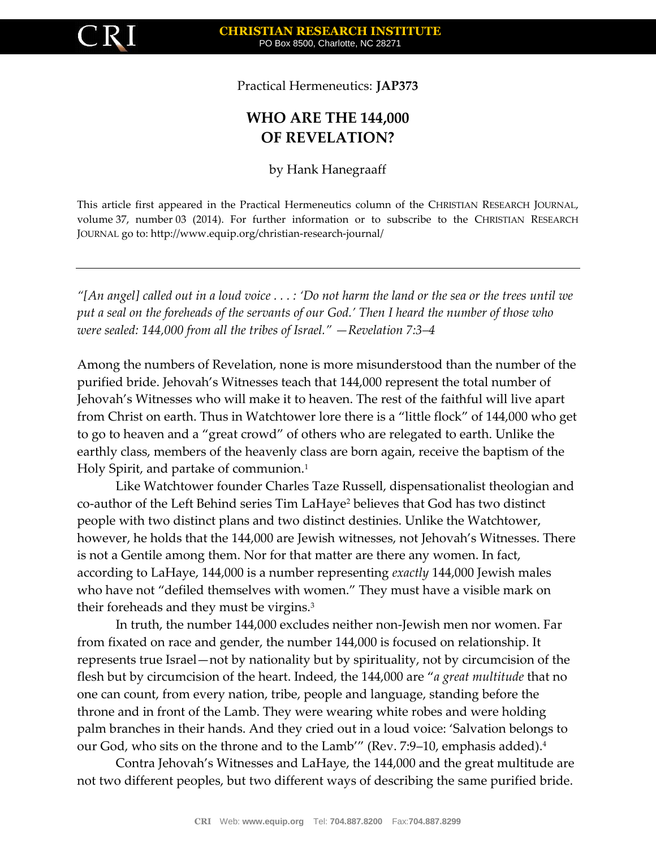

Practical Hermeneutics: **JAP373**

## **WHO ARE THE 144,000 OF REVELATION?**

by Hank Hanegraaff

This article first appeared in the Practical Hermeneutics column of the CHRISTIAN RESEARCH JOURNAL, volume 37, number 03 (2014). For further information or to subscribe to the CHRISTIAN RESEARCH JOURNAL go to: http://www.equip.org/christian-research-journal/

*"[An angel] called out in a loud voice . . . : 'Do not harm the land or the sea or the trees until we put a seal on the foreheads of the servants of our God.' Then I heard the number of those who were sealed: 144,000 from all the tribes of Israel." —Revelation 7:3–4*

Among the numbers of Revelation, none is more misunderstood than the number of the purified bride. Jehovah's Witnesses teach that 144,000 represent the total number of Jehovah's Witnesses who will make it to heaven. The rest of the faithful will live apart from Christ on earth. Thus in Watchtower lore there is a "little flock" of 144,000 who get to go to heaven and a "great crowd" of others who are relegated to earth. Unlike the earthly class, members of the heavenly class are born again, receive the baptism of the Holy Spirit, and partake of communion.<sup>1</sup>

Like Watchtower founder Charles Taze Russell, dispensationalist theologian and co-author of the Left Behind series Tim LaHaye<sup>2</sup> believes that God has two distinct people with two distinct plans and two distinct destinies. Unlike the Watchtower, however, he holds that the 144,000 are Jewish witnesses, not Jehovah's Witnesses. There is not a Gentile among them. Nor for that matter are there any women. In fact, according to LaHaye, 144,000 is a number representing *exactly* 144,000 Jewish males who have not "defiled themselves with women." They must have a visible mark on their foreheads and they must be virgins.<sup>3</sup>

In truth, the number 144,000 excludes neither non-Jewish men nor women. Far from fixated on race and gender, the number 144,000 is focused on relationship. It represents true Israel—not by nationality but by spirituality, not by circumcision of the flesh but by circumcision of the heart. Indeed, the 144,000 are "*a great multitude* that no one can count, from every nation, tribe, people and language, standing before the throne and in front of the Lamb. They were wearing white robes and were holding palm branches in their hands. And they cried out in a loud voice: 'Salvation belongs to our God, who sits on the throne and to the Lamb'" (Rev. 7:9–10, emphasis added).<sup>4</sup>

Contra Jehovah's Witnesses and LaHaye, the 144,000 and the great multitude are not two different peoples, but two different ways of describing the same purified bride.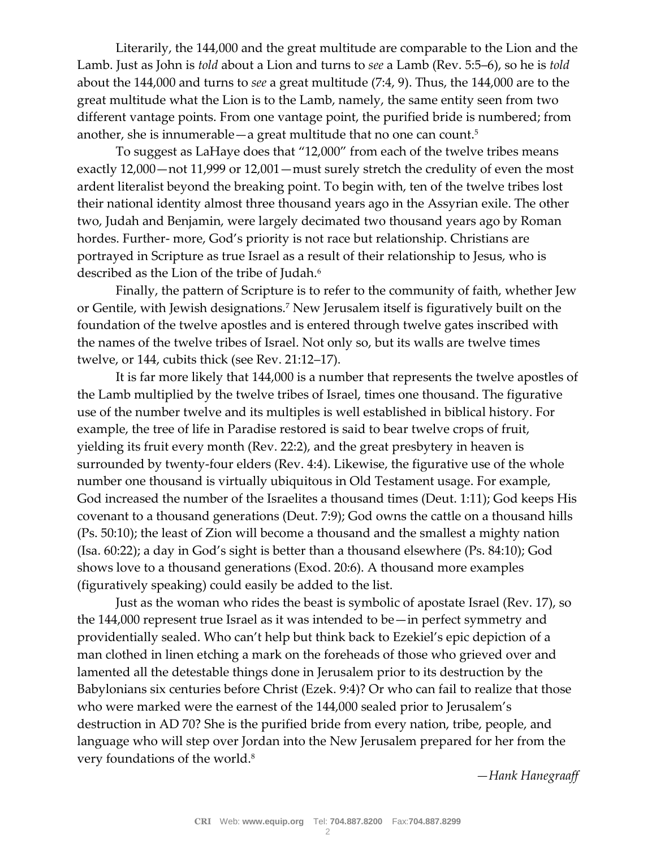Literarily, the 144,000 and the great multitude are comparable to the Lion and the Lamb. Just as John is *told* about a Lion and turns to *see* a Lamb (Rev. 5:5–6), so he is *told* about the 144,000 and turns to *see* a great multitude (7:4, 9). Thus, the 144,000 are to the great multitude what the Lion is to the Lamb, namely, the same entity seen from two different vantage points. From one vantage point, the purified bride is numbered; from another, she is innumerable—a great multitude that no one can count.<sup>5</sup>

To suggest as LaHaye does that "12,000" from each of the twelve tribes means exactly 12,000—not 11,999 or 12,001—must surely stretch the credulity of even the most ardent literalist beyond the breaking point. To begin with, ten of the twelve tribes lost their national identity almost three thousand years ago in the Assyrian exile. The other two, Judah and Benjamin, were largely decimated two thousand years ago by Roman hordes. Further- more, God's priority is not race but relationship. Christians are portrayed in Scripture as true Israel as a result of their relationship to Jesus, who is described as the Lion of the tribe of Judah.<sup>6</sup>

Finally, the pattern of Scripture is to refer to the community of faith, whether Jew or Gentile, with Jewish designations.<sup>7</sup> New Jerusalem itself is figuratively built on the foundation of the twelve apostles and is entered through twelve gates inscribed with the names of the twelve tribes of Israel. Not only so, but its walls are twelve times twelve, or 144, cubits thick (see Rev. 21:12–17).

It is far more likely that 144,000 is a number that represents the twelve apostles of the Lamb multiplied by the twelve tribes of Israel, times one thousand. The figurative use of the number twelve and its multiples is well established in biblical history. For example, the tree of life in Paradise restored is said to bear twelve crops of fruit, yielding its fruit every month (Rev. 22:2), and the great presbytery in heaven is surrounded by twenty-four elders (Rev. 4:4). Likewise, the figurative use of the whole number one thousand is virtually ubiquitous in Old Testament usage. For example, God increased the number of the Israelites a thousand times (Deut. 1:11); God keeps His covenant to a thousand generations (Deut. 7:9); God owns the cattle on a thousand hills (Ps. 50:10); the least of Zion will become a thousand and the smallest a mighty nation (Isa. 60:22); a day in God's sight is better than a thousand elsewhere (Ps. 84:10); God shows love to a thousand generations (Exod. 20:6). A thousand more examples (figuratively speaking) could easily be added to the list.

Just as the woman who rides the beast is symbolic of apostate Israel (Rev. 17), so the 144,000 represent true Israel as it was intended to be—in perfect symmetry and providentially sealed. Who can't help but think back to Ezekiel's epic depiction of a man clothed in linen etching a mark on the foreheads of those who grieved over and lamented all the detestable things done in Jerusalem prior to its destruction by the Babylonians six centuries before Christ (Ezek. 9:4)? Or who can fail to realize that those who were marked were the earnest of the 144,000 sealed prior to Jerusalem's destruction in AD 70? She is the purified bride from every nation, tribe, people, and language who will step over Jordan into the New Jerusalem prepared for her from the very foundations of the world.<sup>8</sup>

*—Hank Hanegraaff*